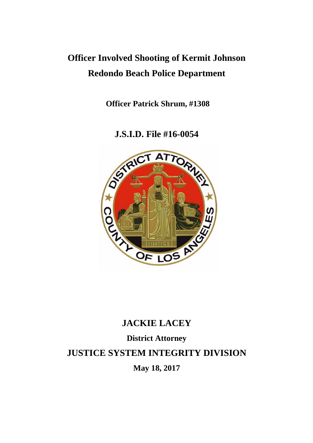## **Officer Involved Shooting of Kermit Johnson Redondo Beach Police Department**

**Officer Patrick Shrum, #1308**

**J.S.I.D. File #16-0054**



# **JACKIE LACEY District Attorney JUSTICE SYSTEM INTEGRITY DIVISION May 18, 2017**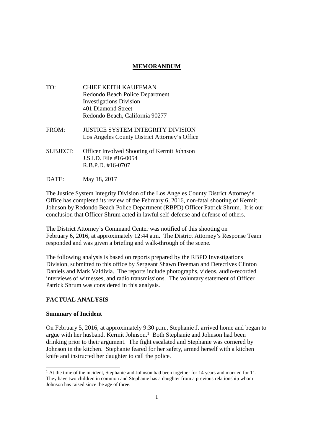## **MEMORANDUM**

- TO: CHIEF KEITH KAUFFMAN Redondo Beach Police Department Investigations Division 401 Diamond Street Redondo Beach, California 90277
- FROM: JUSTICE SYSTEM INTEGRITY DIVISION Los Angeles County District Attorney's Office
- SUBJECT: Officer Involved Shooting of Kermit Johnson J.S.I.D. File #16-0054 R.B.P.D. #16-0707
- DATE: May 18, 2017

The Justice System Integrity Division of the Los Angeles County District Attorney's Office has completed its review of the February 6, 2016, non-fatal shooting of Kermit Johnson by Redondo Beach Police Department (RBPD) Officer Patrick Shrum. It is our conclusion that Officer Shrum acted in lawful self-defense and defense of others.

The District Attorney's Command Center was notified of this shooting on February 6, 2016, at approximately 12:44 a.m. The District Attorney's Response Team responded and was given a briefing and walk-through of the scene.

The following analysis is based on reports prepared by the RBPD Investigations Division, submitted to this office by Sergeant Shawn Freeman and Detectives Clinton Daniels and Mark Valdivia. The reports include photographs, videos, audio-recorded interviews of witnesses, and radio transmissions. The voluntary statement of Officer Patrick Shrum was considered in this analysis.

#### **FACTUAL ANALYSIS**

#### **Summary of Incident**

On February 5, 2016, at approximately 9:30 p.m., Stephanie J. arrived home and began to argue with her husband, Kermit Johnson.<sup>1</sup> Both Stephanie and Johnson had been drinking prior to their argument. The fight escalated and Stephanie was cornered by Johnson in the kitchen. Stephanie feared for her safety, armed herself with a kitchen knife and instructed her daughter to call the police.

 $1$  At the time of the incident, Stephanie and Johnson had been together for 14 years and married for 11. They have two children in common and Stephanie has a daughter from a previous relationship whom Johnson has raised since the age of three.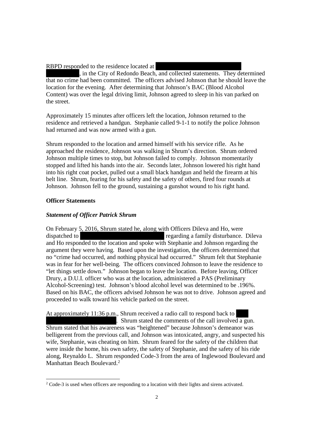RBPD responded to the residence located at

, in the City of Redondo Beach, and collected statements. They determined that no crime had been committed. The officers advised Johnson that he should leave the location for the evening. After determining that Johnson's BAC (Blood Alcohol Content) was over the legal driving limit, Johnson agreed to sleep in his van parked on the street.

Approximately 15 minutes after officers left the location, Johnson returned to the residence and retrieved a handgun. Stephanie called 9-1-1 to notify the police Johnson had returned and was now armed with a gun.

Shrum responded to the location and armed himself with his service rifle. As he approached the residence, Johnson was walking in Shrum's direction. Shrum ordered Johnson multiple times to stop, but Johnson failed to comply. Johnson momentarily stopped and lifted his hands into the air. Seconds later, Johnson lowered his right hand into his right coat pocket, pulled out a small black handgun and held the firearm at his belt line. Shrum, fearing for his safety and the safety of others, fired four rounds at Johnson. Johnson fell to the ground, sustaining a gunshot wound to his right hand.

#### **Officer Statements**

### *Statement of Officer Patrick Shrum*

On February 5, 2016, Shrum stated he, along with Officers Dileva and Ho, were dispatched to regarding a family disturbance. Dileva and Ho responded to the location and spoke with Stephanie and Johnson regarding the argument they were having. Based upon the investigation, the officers determined that no "crime had occurred, and nothing physical had occurred." Shrum felt that Stephanie was in fear for her well-being. The officers convinced Johnson to leave the residence to "let things settle down." Johnson began to leave the location. Before leaving, Officer Drury, a D.U.I. officer who was at the location, administered a PAS (Preliminary Alcohol-Screening) test. Johnson's blood alcohol level was determined to be .196%. Based on his BAC, the officers advised Johnson he was not to drive. Johnson agreed and proceeded to walk toward his vehicle parked on the street.

At approximately 11:36 p.m., Shrum received a radio call to respond back to . Shrum stated the comments of the call involved a gun. Shrum stated that his awareness was "heightened" because Johnson's demeanor was belligerent from the previous call, and Johnson was intoxicated, angry, and suspected his wife, Stephanie, was cheating on him. Shrum feared for the safety of the children that were inside the home, his own safety, the safety of Stephanie, and the safety of his ride along, Reynaldo L. Shrum responded Code-3 from the area of Inglewood Boulevard and Manhattan Beach Boulevard.<sup>2</sup>

<sup>&</sup>lt;sup>2</sup> Code-3 is used when officers are responding to a location with their lights and sirens activated.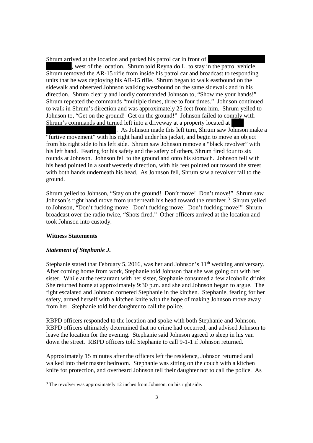Shrum arrived at the location and parked his patrol car in front of

, west of the location. Shrum told Reynaldo L. to stay in the patrol vehicle. Shrum removed the AR-15 rifle from inside his patrol car and broadcast to responding units that he was deploying his AR-15 rifle. Shrum began to walk eastbound on the sidewalk and observed Johnson walking westbound on the same sidewalk and in his direction. Shrum clearly and loudly commanded Johnson to, "Show me your hands!" Shrum repeated the commands "multiple times, three to four times." Johnson continued to walk in Shrum's direction and was approximately 25 feet from him. Shrum yelled to Johnson to, "Get on the ground! Get on the ground!" Johnson failed to comply with Shrum's commands and turned left into a driveway at a property located at

. As Johnson made this left turn, Shrum saw Johnson make a "furtive movement" with his right hand under his jacket, and begin to move an object from his right side to his left side. Shrum saw Johnson remove a "black revolver" with his left hand. Fearing for his safety and the safety of others, Shrum fired four to six rounds at Johnson. Johnson fell to the ground and onto his stomach. Johnson fell with his head pointed in a southwesterly direction, with his feet pointed out toward the street with both hands underneath his head. As Johnson fell, Shrum saw a revolver fall to the ground.

Shrum yelled to Johnson, "Stay on the ground! Don't move! Don't move!" Shrum saw Johnson's right hand move from underneath his head toward the revolver.<sup>3</sup> Shrum velled to Johnson, "Don't fucking move! Don't fucking move! Don't fucking move!" Shrum broadcast over the radio twice, "Shots fired." Other officers arrived at the location and took Johnson into custody.

#### **Witness Statements**

#### *Statement of Stephanie J.*

Stephanie stated that February 5, 2016, was her and Johnson's  $11<sup>th</sup>$  wedding anniversary. After coming home from work, Stephanie told Johnson that she was going out with her sister. While at the restaurant with her sister, Stephanie consumed a few alcoholic drinks. She returned home at approximately 9:30 p.m. and she and Johnson began to argue. The fight escalated and Johnson cornered Stephanie in the kitchen. Stephanie, fearing for her safety, armed herself with a kitchen knife with the hope of making Johnson move away from her. Stephanie told her daughter to call the police.

RBPD officers responded to the location and spoke with both Stephanie and Johnson. RBPD officers ultimately determined that no crime had occurred, and advised Johnson to leave the location for the evening. Stephanie said Johnson agreed to sleep in his van down the street. RBPD officers told Stephanie to call 9-1-1 if Johnson returned.

Approximately 15 minutes after the officers left the residence, Johnson returned and walked into their master bedroom. Stephanie was sitting on the couch with a kitchen knife for protection, and overheard Johnson tell their daughter not to call the police. As

<sup>&</sup>lt;sup>3</sup> The revolver was approximately 12 inches from Johnson, on his right side.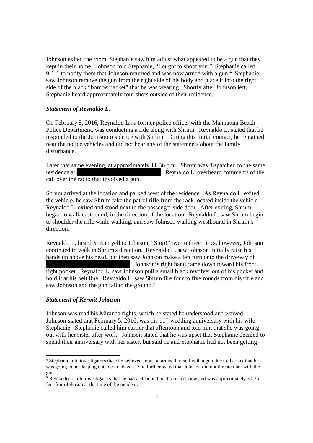Johnson exited the room, Stephanie saw him adjust what appeared to be a gun that they kept in their home. Johnson told Stephanie, "I ought to shoot you." Stephanie called 9-1-1 to notify them that Johnson returned and was now armed with a gun.<sup>4</sup> Stephanie saw Johnson remove the gun from the right side of his body and place it into the right side of the black "bomber jacket" that he was wearing. Shortly after Johnson left, Stephanie heard approximately four shots outside of their residence.

#### *Statement of Reynaldo L.*

On February 5, 2016, Reynaldo L., a former police officer with the Manhattan Beach Police Department, was conducting a ride along with Shrum. Reynaldo L. stated that he responded to the Johnson residence with Shrum. During this initial contact, he remained near the police vehicles and did not hear any of the statements about the family disturbance.

Later that same evening, at approximately 11:36 p.m., Shrum was dispatched to the same residence at . Reynaldo L. overheard comments of the call over the radio that involved a gun.

Shrum arrived at the location and parked west of the residence. As Reynaldo L. exited the vehicle, he saw Shrum take the patrol rifle from the rack located inside the vehicle. Reynaldo L. exited and stood next to the passenger side door. After exiting, Shrum began to walk eastbound, in the direction of the location. Reynaldo L. saw Shrum begin to shoulder the rifle while walking, and saw Johnson walking westbound in Shrum's direction.

Reynaldo L. heard Shrum yell to Johnson, "Stop!" two to three times, however, Johnson continued to walk in Shrum's direction. Reynaldo L. saw Johnson initially raise his hands up above his head, but then saw Johnson make a left turn onto the driveway of . Johnson's right hand came down toward his front right pocket. Reynaldo L. saw Johnson pull a small black revolver out of his pocket and hold it at his belt line. Reynaldo L. saw Shrum fire four to five rounds from his rifle and saw Johnson and the gun fall to the ground.<sup>5</sup>

#### *Statement of Kermit Johnson*

Johnson was read his Miranda rights, which he stated he understood and waived. Johnson stated that February 5, 2016, was his  $11<sup>th</sup>$  wedding anniversary with his wife Stephanie. Stephanie called him earlier that afternoon and told him that she was going out with her sister after work. Johnson stated that he was upset that Stephanie decided to spend their anniversary with her sister, but said he and Stephanie had not been getting

<sup>4</sup> Stephanie told investigators that she believed Johnson armed himself with a gun due to the fact that he was going to be sleeping outside in his van. She further stated that Johnson did not threaten her with the gun.

 $5$  Reynaldo L. told investigators that he had a clear and unobstructed view and was approximately 30-35 feet from Johnson at the time of the incident.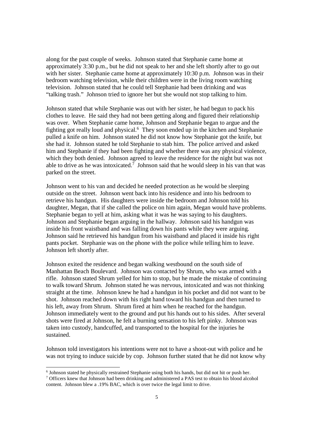along for the past couple of weeks. Johnson stated that Stephanie came home at approximately 3:30 p.m., but he did not speak to her and she left shortly after to go out with her sister. Stephanie came home at approximately 10:30 p.m. Johnson was in their bedroom watching television, while their children were in the living room watching television. Johnson stated that he could tell Stephanie had been drinking and was "talking trash." Johnson tried to ignore her but she would not stop talking to him.

Johnson stated that while Stephanie was out with her sister, he had begun to pack his clothes to leave. He said they had not been getting along and figured their relationship was over. When Stephanie came home, Johnson and Stephanie began to argue and the fighting got really loud and physical.<sup>6</sup> They soon ended up in the kitchen and Stephanie pulled a knife on him. Johnson stated he did not know how Stephanie got the knife, but she had it. Johnson stated he told Stephanie to stab him. The police arrived and asked him and Stephanie if they had been fighting and whether there was any physical violence, which they both denied. Johnson agreed to leave the residence for the night but was not able to drive as he was intoxicated.<sup>7</sup> Johnson said that he would sleep in his van that was parked on the street.

Johnson went to his van and decided he needed protection as he would be sleeping outside on the street. Johnson went back into his residence and into his bedroom to retrieve his handgun. His daughters were inside the bedroom and Johnson told his daughter, Megan, that if she called the police on him again, Megan would have problems. Stephanie began to yell at him, asking what it was he was saying to his daughters. Johnson and Stephanie began arguing in the hallway. Johnson said his handgun was inside his front waistband and was falling down his pants while they were arguing. Johnson said he retrieved his handgun from his waistband and placed it inside his right pants pocket. Stephanie was on the phone with the police while telling him to leave. Johnson left shortly after.

Johnson exited the residence and began walking westbound on the south side of Manhattan Beach Boulevard. Johnson was contacted by Shrum, who was armed with a rifle. Johnson stated Shrum yelled for him to stop, but he made the mistake of continuing to walk toward Shrum. Johnson stated he was nervous, intoxicated and was not thinking straight at the time. Johnson knew he had a handgun in his pocket and did not want to be shot. Johnson reached down with his right hand toward his handgun and then turned to his left, away from Shrum. Shrum fired at him when he reached for the handgun. Johnson immediately went to the ground and put his hands out to his sides. After several shots were fired at Johnson, he felt a burning sensation to his left pinky. Johnson was taken into custody, handcuffed, and transported to the hospital for the injuries he sustained.

Johnson told investigators his intentions were not to have a shoot-out with police and he was not trying to induce suicide by cop. Johnson further stated that he did not know why

<sup>6</sup> Johnson stated he physically restrained Stephanie using both his hands, but did not hit or push her. <sup>7</sup> Officers knew that Johnson had been drinking and administered a PAS test to obtain his blood alcohol content. Johnson blew a .19% BAC, which is over twice the legal limit to drive.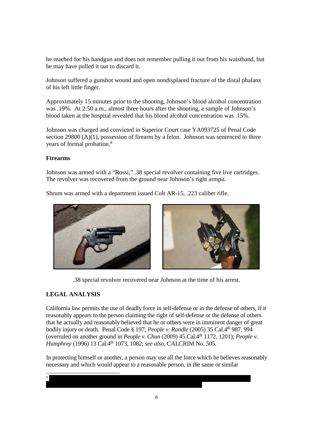he reached for his handgun and does not remember pulling it out from his waistband, but he may have pulled it out to discard it.

Johnson suffered a gunshot wound and open nondisplaced fracture of the distal phalanx of his left little finger.

Approximately 15 minutes prior to the shooting, Johnson's blood alcohol concentration was .19%. At 2:50 a.m., almost three hours after the shooting, a sample of Johnson's blood taken at the hospital revealed that his blood alcohol concentration was .15%.

Johnson was charged and convicted in Superior Court case YA093725 of Penal Code section 29800  $(A)(1)$ , possession of firearm by a felon. Johnson was sentenced to three years of formal probation.<sup>8</sup>

## **Firearms**

Johnson was armed with a "Rossi," .38 special revolver containing five live cartridges. The revolver was recovered from the ground near Johnson's right armpit.

Shrum was armed with a department issued Colt AR-15, .223 caliber rifle.





.38 special revolver recovered near Johnson at the time of his arrest.

## **LEGAL ANALYSIS**

California law permits the use of deadly force in self-defense or in the defense of others, if it reasonably appears to the person claiming the right of self-defense or the defense of others that he actually and reasonably believed that he or others were in imminent danger of great bodily injury or death. Penal Code § 197; *People v. Randle* (2005) 35 Cal.4th 987, 994 (overruled on another ground in *People v. Chun* (2009) 45 Cal.4<sup>th</sup> 1172, 1201); *People v. Humphrey* (1996) 13 Cal.4th 1073, 1082; *see also,* CALCRIM No. 505.

In protecting himself or another, a person may use all the force which he believes reasonably necessary and which would appear to a reasonable person, in the same or similar